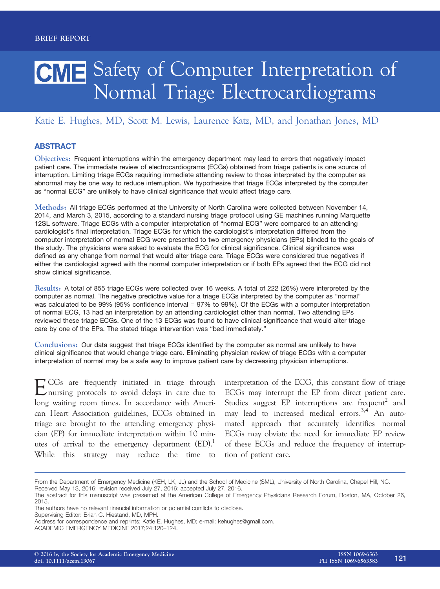# CME Safety of Computer Interpretation of Normal Triage Electrocardiograms

## Katie E. Hughes, MD, Scott M. Lewis, Laurence Katz, MD, and Jonathan Jones, MD

### **ABSTRACT**

Objectives: Frequent interruptions within the emergency department may lead to errors that negatively impact patient care. The immediate review of electrocardiograms (ECGs) obtained from triage patients is one source of interruption. Limiting triage ECGs requiring immediate attending review to those interpreted by the computer as abnormal may be one way to reduce interruption. We hypothesize that triage ECGs interpreted by the computer as "normal ECG" are unlikely to have clinical significance that would affect triage care.

Methods: All triage ECGs performed at the University of North Carolina were collected between November 14, 2014, and March 3, 2015, according to a standard nursing triage protocol using GE machines running Marquette 12SL software. Triage ECGs with a computer interpretation of "normal ECG" were compared to an attending cardiologist's final interpretation. Triage ECGs for which the cardiologist's interpretation differed from the computer interpretation of normal ECG were presented to two emergency physicians (EPs) blinded to the goals of the study. The physicians were asked to evaluate the ECG for clinical significance. Clinical significance was defined as any change from normal that would alter triage care. Triage ECGs were considered true negatives if either the cardiologist agreed with the normal computer interpretation or if both EPs agreed that the ECG did not show clinical significance.

Results: A total of 855 triage ECGs were collected over 16 weeks. A total of 222 (26%) were interpreted by the computer as normal. The negative predictive value for a triage ECGs interpreted by the computer as "normal" was calculated to be 99% (95% confidence interval = 97% to 99%). Of the ECGs with a computer interpretation of normal ECG, 13 had an interpretation by an attending cardiologist other than normal. Two attending EPs reviewed these triage ECGs. One of the 13 ECGs was found to have clinical significance that would alter triage care by one of the EPs. The stated triage intervention was "bed immediately."

Conclusions: Our data suggest that triage ECGs identified by the computer as normal are unlikely to have clinical significance that would change triage care. Eliminating physician review of triage ECGs with a computer interpretation of normal may be a safe way to improve patient care by decreasing physician interruptions.

ECGs are frequently initiated in triage through nursing protocols to avoid delays in care due to long waiting room times. In accordance with American Heart Association guidelines, ECGs obtained in triage are brought to the attending emergency physician (EP) for immediate interpretation within 10 minutes of arrival to the emergency department  $(ED)$ .<sup>1</sup> While this strategy may reduce the time to

interpretation of the ECG, this constant flow of triage ECGs may interrupt the EP from direct patient care. Studies suggest  $EP$  interruptions are frequent<sup>2</sup> and may lead to increased medical errors.<sup>3,4</sup> An automated approach that accurately identifies normal ECGs may obviate the need for immediate EP review of these ECGs and reduce the frequency of interruption of patient care.

Supervising Editor: Brian C. Hiestand, MD, MPH.

From the Department of Emergency Medicine (KEH, LK, JJ) and the School of Medicine (SML), University of North Carolina, Chapel Hill, NC.

Received May 13, 2016; revision received July 27, 2016; accepted July 27, 2016.

The abstract for this manuscript was presented at the American College of Emergency Physicians Research Forum, Boston, MA, October 26, 2015.

The authors have no relevant financial information or potential conflicts to disclose.

Address for correspondence and reprints: Katie E. Hughes, MD; e-mail: kehughes@gmail.com.

ACADEMIC EMERGENCY MEDICINE 2017;24:120–124.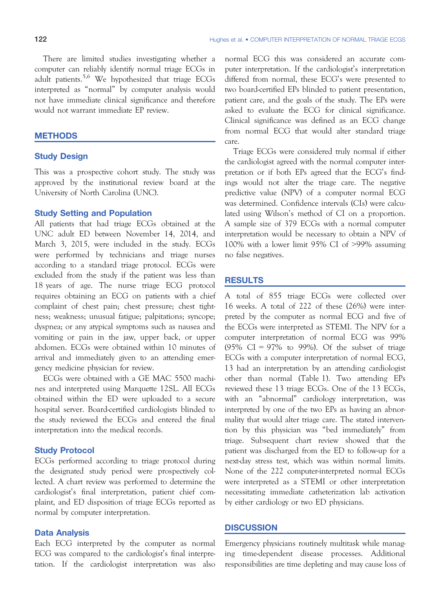There are limited studies investigating whether a computer can reliably identify normal triage ECGs in adult patients.5,6 We hypothesized that triage ECGs interpreted as "normal" by computer analysis would not have immediate clinical significance and therefore would not warrant immediate EP review.

#### **METHODS**

#### Study Design

This was a prospective cohort study. The study was approved by the institutional review board at the University of North Carolina (UNC).

#### Study Setting and Population

All patients that had triage ECGs obtained at the UNC adult ED between November 14, 2014, and March 3, 2015, were included in the study. ECGs were performed by technicians and triage nurses according to a standard triage protocol. ECGs were excluded from the study if the patient was less than 18 years of age. The nurse triage ECG protocol requires obtaining an ECG on patients with a chief complaint of chest pain; chest pressure; chest tightness; weakness; unusual fatigue; palpitations; syncope; dyspnea; or any atypical symptoms such as nausea and vomiting or pain in the jaw, upper back, or upper abdomen. ECGs were obtained within 10 minutes of arrival and immediately given to an attending emergency medicine physician for review.

ECGs were obtained with a GE MAC 5500 machines and interpreted using Marquette 12SL. All ECGs obtained within the ED were uploaded to a secure hospital server. Board-certified cardiologists blinded to the study reviewed the ECGs and entered the final interpretation into the medical records.

#### Study Protocol

ECGs performed according to triage protocol during the designated study period were prospectively collected. A chart review was performed to determine the cardiologist's final interpretation, patient chief complaint, and ED disposition of triage ECGs reported as normal by computer interpretation.

#### Data Analysis

Each ECG interpreted by the computer as normal ECG was compared to the cardiologist's final interpretation. If the cardiologist interpretation was also normal ECG this was considered an accurate computer interpretation. If the cardiologist's interpretation differed from normal, these ECG's were presented to two board-certified EPs blinded to patient presentation, patient care, and the goals of the study. The EPs were asked to evaluate the ECG for clinical significance. Clinical significance was defined as an ECG change from normal ECG that would alter standard triage care.

Triage ECGs were considered truly normal if either the cardiologist agreed with the normal computer interpretation or if both EPs agreed that the ECG's findings would not alter the triage care. The negative predictive value (NPV) of a computer normal ECG was determined. Confidence intervals (CIs) were calculated using Wilson's method of CI on a proportion. A sample size of 379 ECGs with a normal computer interpretation would be necessary to obtain a NPV of 100% with a lower limit 95% CI of >99% assuming no false negatives.

#### **RESULTS**

A total of 855 triage ECGs were collected over 16 weeks. A total of 222 of these (26%) were interpreted by the computer as normal ECG and five of the ECGs were interpreted as STEMI. The NPV for a computer interpretation of normal ECG was 99% (95% CI = 97% to 99%). Of the subset of triage ECGs with a computer interpretation of normal ECG, 13 had an interpretation by an attending cardiologist other than normal (Table 1). Two attending EPs reviewed these 13 triage ECGs. One of the 13 ECGs, with an "abnormal" cardiology interpretation, was interpreted by one of the two EPs as having an abnormality that would alter triage care. The stated intervention by this physician was "bed immediately" from triage. Subsequent chart review showed that the patient was discharged from the ED to follow-up for a next-day stress test, which was within normal limits. None of the 222 computer-interpreted normal ECGs were interpreted as a STEMI or other interpretation necessitating immediate catheterization lab activation by either cardiology or two ED physicians.

#### **DISCUSSION**

Emergency physicians routinely multitask while managing time-dependent disease processes. Additional responsibilities are time depleting and may cause loss of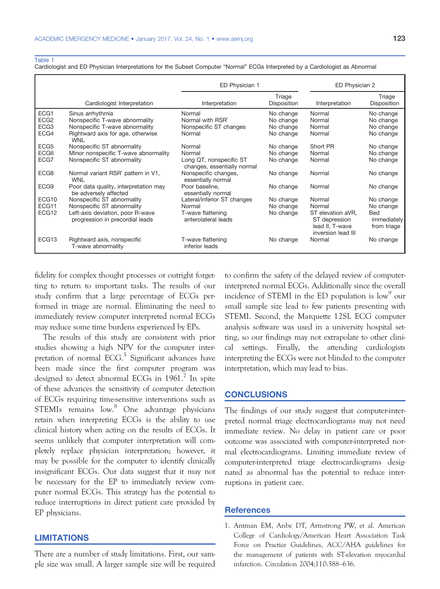#### Table 1

Cardiologist and ED Physician Interpretations for the Subset Computer "Normal" ECGs Interpreted by a Cardiologist as Abnormal

|                  |                                                                     | ED Physician 1                                         |                       | ED Physician 2                                                              |                                   |
|------------------|---------------------------------------------------------------------|--------------------------------------------------------|-----------------------|-----------------------------------------------------------------------------|-----------------------------------|
|                  | Cardiologist Interpretation                                         | Interpretation                                         | Triage<br>Disposition | Interpretation                                                              | Triage<br>Disposition             |
| ECG1             | Sinus arrhythmia                                                    | Normal                                                 | No change             | Normal                                                                      | No change                         |
| ECG <sub>2</sub> | Nonspecific T-wave abnormality                                      | Normal with RSR'                                       | No change             | Normal                                                                      | No change                         |
| ECG <sub>3</sub> | Nonspecific T-wave abnormality                                      | Nonspecific ST changes                                 | No change             | Normal                                                                      | No change                         |
| ECG4             | Rightward axis for age, otherwise<br><b>WNL</b>                     | Normal                                                 | No change             | Normal                                                                      | No change                         |
| ECG <sub>5</sub> | Nonspecific ST abnormality                                          | Normal                                                 | No change             | Short PR                                                                    | No change                         |
| ECG <sub>6</sub> | Minor nonspecific T-wave abnormality                                | Normal                                                 | No change             | Normal                                                                      | No change                         |
| ECG7             | Nonspecific ST abnormality                                          | Long QT, nonspecific ST<br>changes, essentially normal | No change             | Normal                                                                      | No change                         |
| ECG8             | Normal variant RSR' pattern in V1,<br><b>WNL</b>                    | Nonspecific changes,<br>essentially normal             | No change             | Normal                                                                      | No change                         |
| ECG9             | Poor data quality, interpretation may<br>be adversely affected      | Poor baseline,<br>essentially normal                   | No change             | Normal                                                                      | No change                         |
| ECG10            | Nonspecific ST abnormality                                          | Lateral/inferior ST changes                            | No change             | Normal                                                                      | No change                         |
| ECG11            | Nonspecific ST abnormality                                          | Normal                                                 | No change             | Normal                                                                      | No change                         |
| ECG12            | Left-axis deviation, poor R-wave<br>progression in precordial leads | T-wave flattening<br>anterolateral leads               | No change             | ST elevation aVR.<br>ST depression<br>lead II, T-wave<br>inversion lead III | Bed<br>immediately<br>from triage |
| ECG13            | Rightward axis, nonspecific<br>T-wave abnormality                   | T-wave flattening<br>inferior leads                    | No change             | Normal                                                                      | No change                         |

fidelity for complex thought processes or outright forgetting to return to important tasks. The results of our study confirm that a large percentage of ECGs performed in triage are normal. Eliminating the need to immediately review computer interpreted normal ECGs may reduce some time burdens experienced by EPs.

The results of this study are consistent with prior studies showing a high NPV for the computer interpretation of normal  $ECG<sup>5</sup>$  Significant advances have been made since the first computer program was designed to detect abnormal ECGs in 1961.<sup>7</sup> In spite of these advances the sensitivity of computer detection of ECGs requiring time-sensitive interventions such as STEMIs remains low.<sup>8</sup> One advantage physicians retain when interpreting ECGs is the ability to use clinical history when acting on the results of ECGs. It seems unlikely that computer interpretation will completely replace physician interpretation; however, it may be possible for the computer to identify clinically insignificant ECGs. Our data suggest that it may not be necessary for the EP to immediately review computer normal ECGs. This strategy has the potential to reduce interruptions in direct patient care provided by EP physicians.

#### LIMITATIONS

There are a number of study limitations. First, our sample size was small. A larger sample size will be required to confirm the safety of the delayed review of computerinterpreted normal ECGs. Additionally since the overall incidence of STEMI in the ED population is low<sup>9</sup> our small sample size lead to few patients presenting with STEMI. Second, the Marquette 12SL ECG computer analysis software was used in a university hospital setting, so our findings may not extrapolate to other clinical settings. Finally, the attending cardiologists interpreting the ECGs were not blinded to the computer interpretation, which may lead to bias.

#### **CONCLUSIONS**

The findings of our study suggest that computer-interpreted normal triage electrocardiograms may not need immediate review. No delay in patient care or poor outcome was associated with computer-interpreted normal electrocardiograms. Limiting immediate review of computer-interpreted triage electrocardiograms designated as abnormal has the potential to reduce interruptions in patient care.

#### **References**

1. Antman EM, Anbe DT, Armstrong PW, et al. American College of Cardiology/American Heart Association Task Force on Practice Guidelines, ACC/AHA guidelines for the management of patients with ST-elevation myocardial infarction. Circulation 2004;110:588–636.